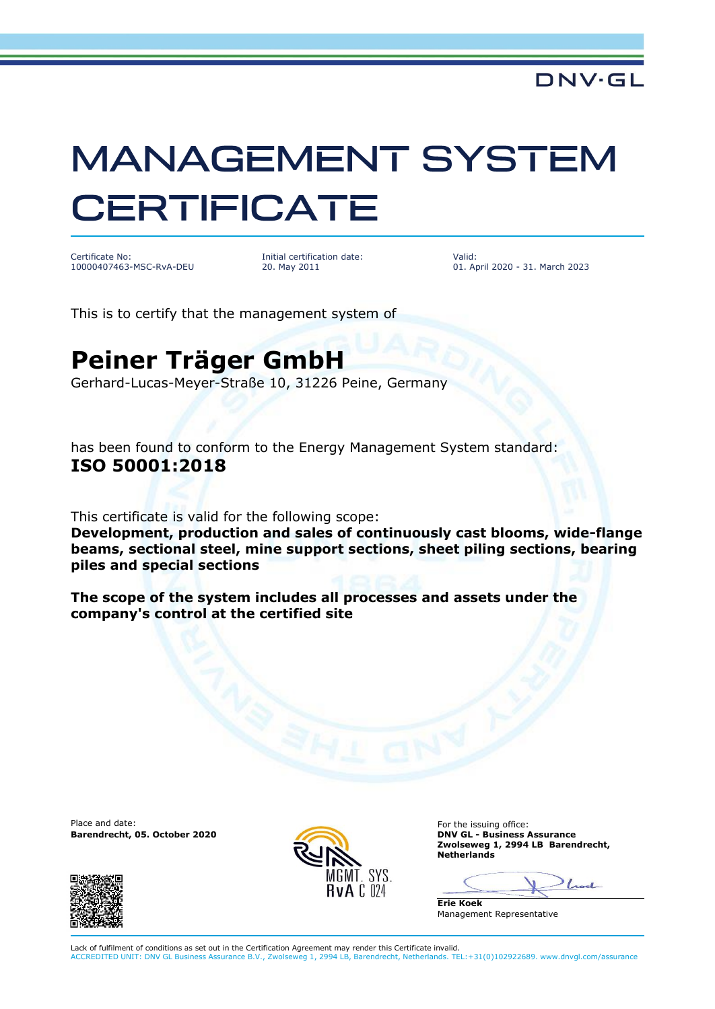# **MANAGEMENT SYSTEM CERTIFICATE**

Certificate No: 10000407463-MSC-RvA-DEU

Initial certification date: 20. May 2011

Valid: 01. April 2020 - 31. March 2023

This is to certify that the management system of

## **Peiner Träger GmbH**

Gerhard-Lucas-Meyer-Straße 10, 31226 Peine, Germany

has been found to conform to the Energy Management System standard: **ISO 50001:2018**

This certificate is valid for the following scope:

**Development, production and sales of continuously cast blooms, wide-flange beams, sectional steel, mine support sections, sheet piling sections, bearing piles and special sections**

**The scope of the system includes all processes and assets under the company's control at the certified site**

Place and date: For the issuing office:<br> **Barendrecht, 05. October 2020 CONSISTENT ON CONSISTENT ON CONSISTENT ON CONSISTENT ON CONSISTENT ON CONSISTENT ON CONSISTENT ON CONSISTENT ON CONSISTENT ON CONSISTENT ON CONSISTE Barendrecht, 05. October 2020** 





**Zwolseweg 1, 2994 LB Barendrecht, Netherlands**

Lock

**Erie Koek** Management Representative

Lack of fulfilment of conditions as set out in the Certification Agreement may render this Certificate invalid. ACCREDITED UNIT: DNV GL Business Assurance B.V., Zwolseweg 1, 2994 LB, Barendrecht, Netherlands. TEL:+31(0)102922689. www.dnvgl.com/assurance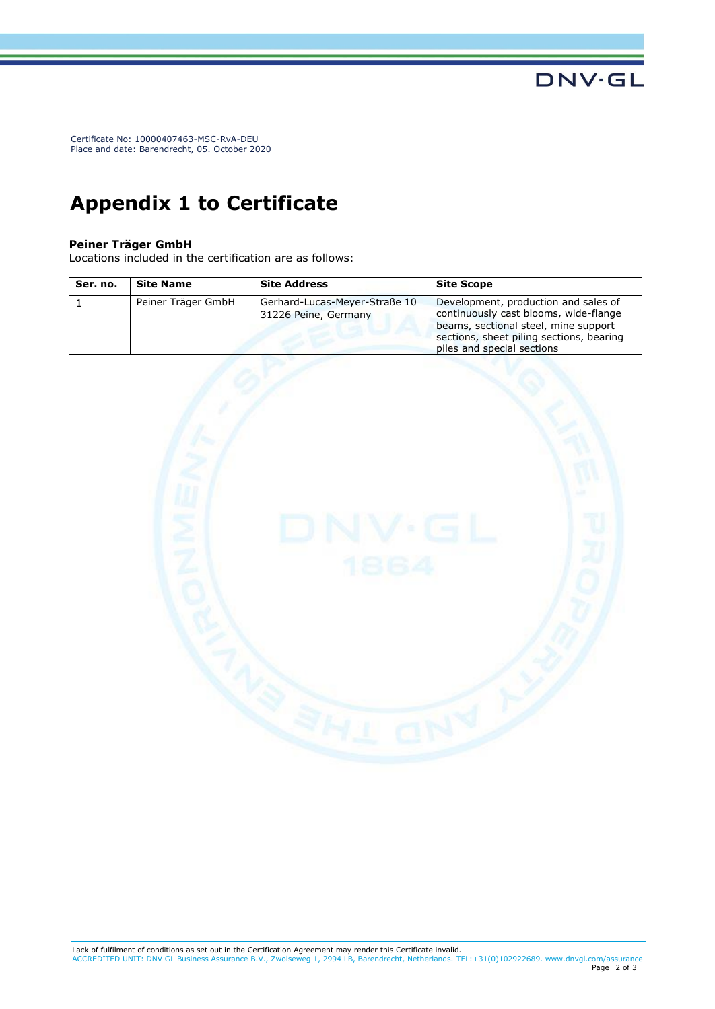Certificate No: 10000407463-MSC-RvA-DEU Place and date: Barendrecht, 05. October 2020

### **Appendix 1 to Certificate**

#### **Peiner Träger GmbH**

Locations included in the certification are as follows:

| Ser. no. | <b>Site Name</b>   | <b>Site Address</b>                                   | <b>Site Scope</b>                                                                                                                                                                               |
|----------|--------------------|-------------------------------------------------------|-------------------------------------------------------------------------------------------------------------------------------------------------------------------------------------------------|
|          | Peiner Träger GmbH | Gerhard-Lucas-Meyer-Straße 10<br>31226 Peine, Germany | Development, production and sales of<br>continuously cast blooms, wide-flange<br>beams, sectional steel, mine support<br>sections, sheet piling sections, bearing<br>piles and special sections |



**DNV·GL**